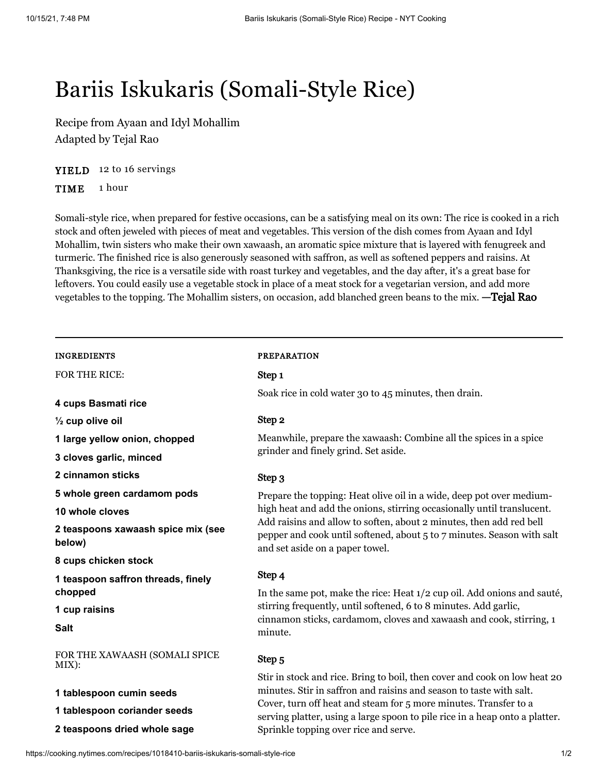# Bariis Iskukaris (Somali-Style Rice)

Recipe from [Ayaan](https://cooking.nytimes.com/search?q=Ayaan&action=click&module=byline®ion=recipe%20page) and [Idyl Mohallim](https://cooking.nytimes.com/search?q=Idyl+Mohallim&action=click&module=byline®ion=recipe%20page) Adapted by [Tejal Rao](https://cooking.nytimes.com/ourcooks/tejal-rao/my-recipes?action=click&module=byline®ion=recipe%20page)

YIELD 12 to 16 servings

TIME 1 hour

Somali-style rice, when prepared for festive occasions, can be a satisfying meal on its own: The rice is cooked in a rich stock and often jeweled with pieces of meat and vegetables. This version of the dish comes from Ayaan and Idyl Mohallim, twin sisters who make their own xawaash, an aromatic spice mixture that is layered with fenugreek and turmeric. The finished rice is also generously seasoned with saffron, as well as softened peppers and raisins. At Thanksgiving, the rice is a versatile side with roast turkey and vegetables, and the day after, it's a great base for leftovers. You could easily use a vegetable stock in place of a meat stock for a vegetarian version, and add more vegetables to the topping. The Mohallim sisters, on occasion, add blanched green beans to the mix. —Tejal Rao

| INGREDIENTS |  |
|-------------|--|
|             |  |

FOR THE RICE:

**4 cups Basmati rice**

**½ cup olive oil**

**1 large yellow onion, chopped**

**3 cloves garlic, minced**

**2 cinnamon sticks**

**5 whole green cardamom pods**

**10 whole cloves**

**2 teaspoons xawaash spice mix (see below)**

**8 cups chicken stock**

**1 teaspoon saffron threads, finely chopped**

**1 cup raisins**

**Salt**

FOR THE XAWAASH (SOMALI SPICE MIX):

- **1 tablespoon cumin seeds**
- **1 tablespoon coriander seeds**
- **2 teaspoons dried whole sage**

# PREPARATION

Step 1

Soak rice in cold water 30 to 45 minutes, then drain.

#### Step 2

Meanwhile, prepare the xawaash: Combine all the spices in a spice grinder and finely grind. Set aside.

#### Step 3

Prepare the topping: Heat olive oil in a wide, deep pot over mediumhigh heat and add the onions, stirring occasionally until translucent. Add raisins and allow to soften, about 2 minutes, then add red bell pepper and cook until softened, about 5 to 7 minutes. Season with salt and set aside on a paper towel.

## Step 4

In the same pot, make the rice: Heat 1/2 cup oil. Add onions and sauté, stirring frequently, until softened, 6 to 8 minutes. Add garlic, cinnamon sticks, cardamom, cloves and xawaash and cook, stirring, 1 minute.

#### Step 5

Stir in stock and rice. Bring to boil, then cover and cook on low heat 20 minutes. Stir in saffron and raisins and season to taste with salt. Cover, turn off heat and steam for 5 more minutes. Transfer to a serving platter, using a large spoon to pile rice in a heap onto a platter. Sprinkle topping over rice and serve.